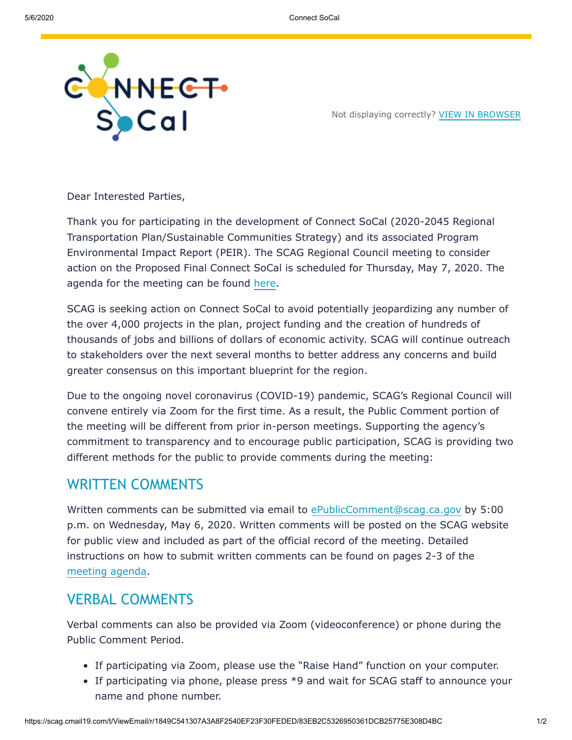

Not displaying correctly? [VIEW IN BROWSER](https://scag.createsend1.com/t/r-e-jklrkkdd-omijkuurd-h/)

Dear Interested Parties,

Thank you for participating in the development of Connect SoCal (2020-2045 Regional Transportation Plan/Sustainable Communities Strategy) and its associated Program Environmental Impact Report (PEIR). The SCAG Regional Council meeting to consider action on the Proposed Final Connect SoCal is scheduled for Thursday, May 7, 2020. The agenda for the meeting can be found [here](https://scag.createsend1.com/t/r-l-jklrkkdd-omijkuurd-y/).

SCAG is seeking action on Connect SoCal to avoid potentially jeopardizing any number of the over 4,000 projects in the plan, project funding and the creation of hundreds of thousands of jobs and billions of dollars of economic activity. SCAG will continue outreach to stakeholders over the next several months to better address any concerns and build greater consensus on this important blueprint for the region.

Due to the ongoing novel coronavirus (COVID-19) pandemic, SCAG's Regional Council will convene entirely via Zoom for the first time. As a result, the Public Comment portion of the meeting will be different from prior in-person meetings. Supporting the agency's commitment to transparency and to encourage public participation, SCAG is providing two different methods for the public to provide comments during the meeting:

## WRITTEN COMMENTS

Written comments can be submitted via email to [ePublicComment@scag.ca.gov](mailto:ePublicComment@scag.ca.gov?subject=Comment%20for%20the%20May%207%20Regional%20Council%20Meeting%20on%20Connect%20SoCal%20and%20PEIR) by 5:00 p.m. on Wednesday, May 6, 2020. Written comments will be posted on the SCAG website for public view and included as part of the official record of the meeting. Detailed instructions on how to submit written comments can be found on pages 2-3 of the [meeting agenda.](https://scag.createsend1.com/t/r-l-jklrkkdd-omijkuurd-j/)

## VERBAL COMMENTS

Verbal comments can also be provided via Zoom (videoconference) or phone during the Public Comment Period.

- If participating via Zoom, please use the "Raise Hand" function on your computer.
- If participating via phone, please press \*9 and wait for SCAG staff to announce your name and phone number.